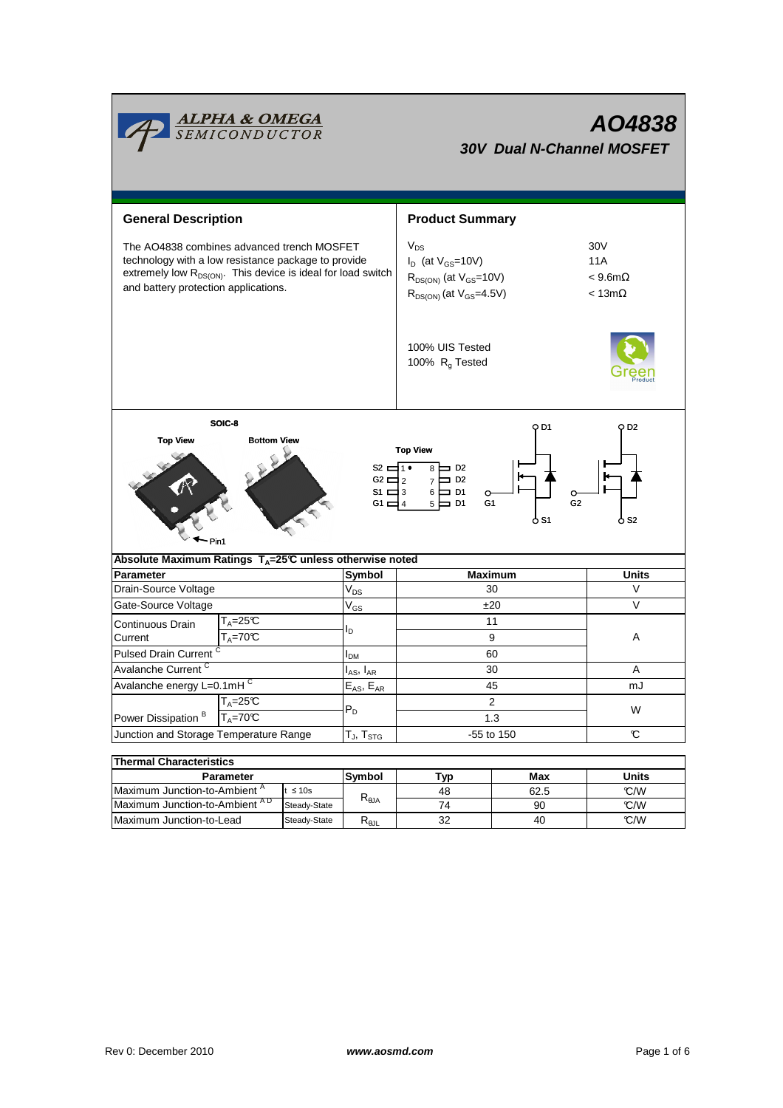|                                                                                                                                                                                                                                                                      | <b>ALPHA &amp; OMEGA</b><br>SEMICONDUCTOR                                |              |                                               | AO4838<br><b>30V Dual N-Channel MOSFET</b>                                                                  |              |                                                          |  |  |  |  |  |
|----------------------------------------------------------------------------------------------------------------------------------------------------------------------------------------------------------------------------------------------------------------------|--------------------------------------------------------------------------|--------------|-----------------------------------------------|-------------------------------------------------------------------------------------------------------------|--------------|----------------------------------------------------------|--|--|--|--|--|
| <b>General Description</b>                                                                                                                                                                                                                                           |                                                                          |              | <b>Product Summary</b>                        |                                                                                                             |              |                                                          |  |  |  |  |  |
| The AO4838 combines advanced trench MOSFET<br>technology with a low resistance package to provide<br>extremely low R <sub>DS(ON)</sub> . This device is ideal for load switch<br>and battery protection applications.                                                |                                                                          |              |                                               | $V_{DS}$<br>$I_D$ (at $V_{GS}$ =10V)<br>$R_{DS(ON)}$ (at $V_{GS}=10V$ )<br>$R_{DS(ON)}$ (at $V_{GS}$ =4.5V) |              | 30V<br><b>11A</b><br>$< 9.6$ m $\Omega$<br>$< 13m\Omega$ |  |  |  |  |  |
|                                                                                                                                                                                                                                                                      |                                                                          |              | 100% UIS Tested<br>100% R <sub>g</sub> Tested |                                                                                                             |              |                                                          |  |  |  |  |  |
| SOIC-8<br>O D1<br>O D2<br><b>Top View</b><br><b>Bottom View</b><br><b>Top View</b><br>s2 d1•<br>$8 \Box$ D <sub>2</sub><br>$7 \Box 02$<br>$G2 \square 2$<br>$6 \Box$ D1<br>$S1 \equiv 3$<br>$\circ$<br>G2<br>G1<br>5 Þ<br>$\equiv$ D1<br>G1 $\Box$ 4<br>o S2<br>o S1 |                                                                          |              |                                               |                                                                                                             |              |                                                          |  |  |  |  |  |
| Absolute Maximum Ratings T <sub>A</sub> =25℃ unless otherwise noted                                                                                                                                                                                                  |                                                                          |              |                                               | <b>Maximum</b>                                                                                              |              | <b>Units</b>                                             |  |  |  |  |  |
| Parameter<br>Drain-Source Voltage                                                                                                                                                                                                                                    |                                                                          |              | Symbol<br>V <sub>DS</sub>                     | 30                                                                                                          |              | V                                                        |  |  |  |  |  |
| Gate-Source Voltage                                                                                                                                                                                                                                                  |                                                                          |              | $\mathsf{V}_{\mathsf{GS}}$                    | ±20                                                                                                         |              | V                                                        |  |  |  |  |  |
| $T_A = 25C$                                                                                                                                                                                                                                                          |                                                                          |              |                                               | 11                                                                                                          |              |                                                          |  |  |  |  |  |
| Current                                                                                                                                                                                                                                                              | Continuous Drain<br>$T_A = 70C$                                          |              | l <sub>D</sub>                                | 9                                                                                                           |              | Α                                                        |  |  |  |  |  |
| Pulsed Drain Current <sup>C</sup>                                                                                                                                                                                                                                    |                                                                          |              | $I_{DM}$                                      | 60                                                                                                          |              |                                                          |  |  |  |  |  |
| Avalanche Current <sup>C</sup>                                                                                                                                                                                                                                       |                                                                          |              | I <sub>AS</sub> , I <sub>AR</sub>             | 30                                                                                                          |              | A                                                        |  |  |  |  |  |
| Avalanche energy L=0.1mHC                                                                                                                                                                                                                                            |                                                                          |              | $E_{AS}$ , $E_{AR}$                           | 45                                                                                                          |              | mJ                                                       |  |  |  |  |  |
|                                                                                                                                                                                                                                                                      | $T_A = 25C$                                                              |              | $P_D$                                         | $\overline{c}$                                                                                              |              |                                                          |  |  |  |  |  |
| Power Dissipation <sup>B</sup>                                                                                                                                                                                                                                       | $T_A = 70\overline{C}$                                                   |              |                                               | 1.3                                                                                                         |              | W                                                        |  |  |  |  |  |
| Junction and Storage Temperature Range                                                                                                                                                                                                                               |                                                                          |              | T $_{\sf J}$ , T $_{\sf STG}$                 | -55 to 150                                                                                                  | C            |                                                          |  |  |  |  |  |
|                                                                                                                                                                                                                                                                      |                                                                          |              |                                               |                                                                                                             |              |                                                          |  |  |  |  |  |
| <b>Thermal Characteristics</b>                                                                                                                                                                                                                                       |                                                                          |              |                                               |                                                                                                             |              |                                                          |  |  |  |  |  |
| <b>Parameter</b>                                                                                                                                                                                                                                                     |                                                                          | Symbol       | Typ                                           | Max                                                                                                         | <b>Units</b> |                                                          |  |  |  |  |  |
|                                                                                                                                                                                                                                                                      | Maximum Junction-to-Ambient <sup>A</sup><br>$t \leq 10s$<br>Steady-State |              | $R_{\theta$ JA                                | 48                                                                                                          | 62.5         | C/W                                                      |  |  |  |  |  |
|                                                                                                                                                                                                                                                                      | Maximum Junction-to-Ambient AD<br>Maximum Junction-to-Lead               |              | $R_{\theta JL}$                               | 74<br>32                                                                                                    | 90<br>40     | °C/W<br>°C/W                                             |  |  |  |  |  |
|                                                                                                                                                                                                                                                                      |                                                                          | Steady-State |                                               |                                                                                                             |              |                                                          |  |  |  |  |  |

─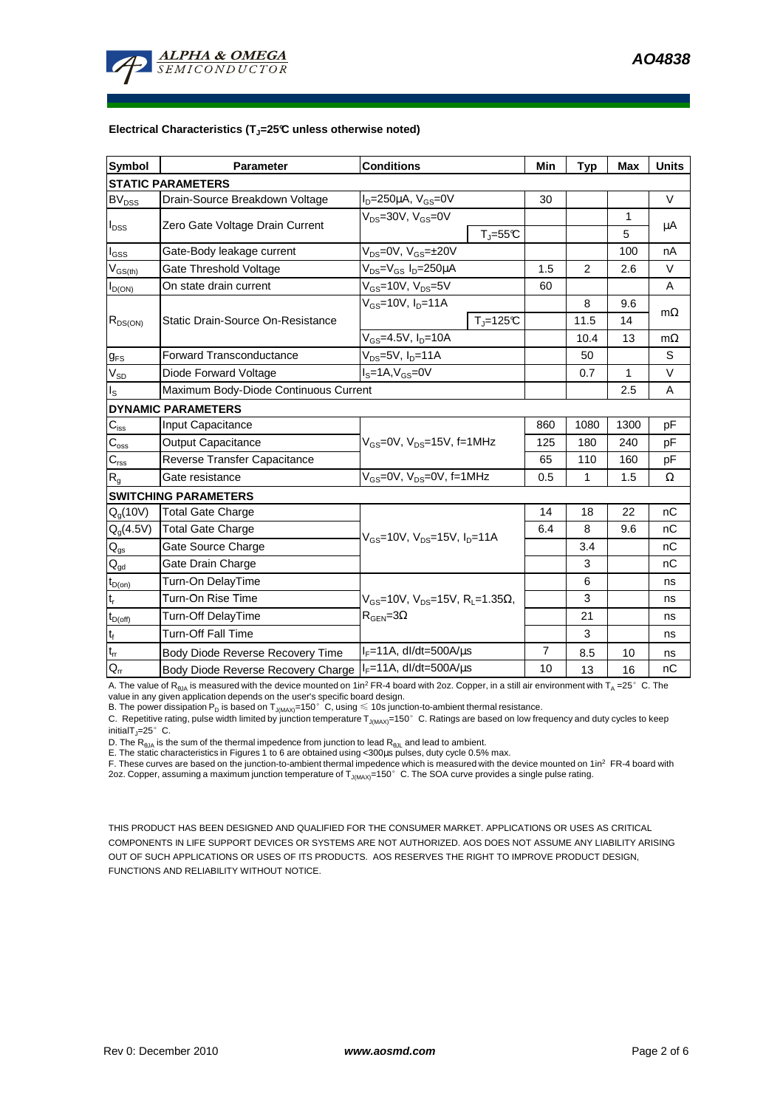

#### **Electrical Characteristics (TJ=25°C unless otherwise noted)**

| <b>Symbol</b>                 | <b>Parameter</b>                                                  | <b>Conditions</b>                                                                                |                          |                | <b>Typ</b>     | Max  | <b>Units</b> |  |  |  |  |  |
|-------------------------------|-------------------------------------------------------------------|--------------------------------------------------------------------------------------------------|--------------------------|----------------|----------------|------|--------------|--|--|--|--|--|
| <b>STATIC PARAMETERS</b>      |                                                                   |                                                                                                  |                          |                |                |      |              |  |  |  |  |  |
| <b>BV</b> <sub>DSS</sub>      | Drain-Source Breakdown Voltage                                    | $ID=250\mu A$ , $VGS=0V$                                                                         |                          | 30             |                |      | $\vee$       |  |  |  |  |  |
| $I_{DSS}$                     | Zero Gate Voltage Drain Current                                   | $V_{DS}$ =30V, $V_{GS}$ =0V                                                                      |                          |                |                | 1    |              |  |  |  |  |  |
|                               |                                                                   |                                                                                                  | $T_{\parallel} = 55$ °C  |                |                | 5    | $\mu$ A      |  |  |  |  |  |
| l <sub>GSS</sub>              | Gate-Body leakage current                                         | $V_{DS} = 0V$ , $V_{GS} = \pm 20V$                                                               |                          |                |                | 100  | nA           |  |  |  |  |  |
| $V_{GS(th)}$                  | Gate Threshold Voltage                                            | $V_{DS} = V_{GS} I_D = 250 \mu A$                                                                |                          | 1.5            | $\overline{2}$ | 2.6  | $\vee$       |  |  |  |  |  |
| $I_{D(ON)}$                   | On state drain current                                            | $V_{GS}$ =10V, $V_{DS}$ =5V                                                                      |                          | 60             |                |      | A            |  |  |  |  |  |
| $R_{DS(ON)}$                  |                                                                   | $V_{GS}$ =10V, $I_{D}$ =11A                                                                      |                          |                | 8              | 9.6  |              |  |  |  |  |  |
|                               | Static Drain-Source On-Resistance                                 |                                                                                                  | $T_{\parallel} = 125$ °C |                | 11.5           | 14   | $m\Omega$    |  |  |  |  |  |
|                               |                                                                   | $\overline{V_{GS}}$ =4.5V, I <sub>D</sub> =10A                                                   |                          |                | 10.4           | 13   | $m\Omega$    |  |  |  |  |  |
| $g_{FS}$                      | $V_{DS}$ =5V, $I_{D}$ =11A<br><b>Forward Transconductance</b>     |                                                                                                  |                          |                | 50             |      | S            |  |  |  |  |  |
| $V_{SD}$                      | Diode Forward Voltage                                             | $IS=1A, VGS=0V$                                                                                  |                          |                | 0.7            | 1    | V            |  |  |  |  |  |
| Is                            | Maximum Body-Diode Continuous Current                             |                                                                                                  |                          | 2.5            | A              |      |              |  |  |  |  |  |
|                               | <b>DYNAMIC PARAMETERS</b>                                         |                                                                                                  |                          |                |                |      |              |  |  |  |  |  |
| $C_{\hbox{\scriptsize{iss}}}$ | Input Capacitance                                                 |                                                                                                  |                          | 860            | 1080           | 1300 | pF           |  |  |  |  |  |
| $C_{\rm oss}$                 | <b>Output Capacitance</b>                                         | $V_{GS}$ =0V, $V_{DS}$ =15V, f=1MHz                                                              |                          | 125            | 180            | 240  | pF           |  |  |  |  |  |
| $C_{\rm rss}$                 | Reverse Transfer Capacitance                                      |                                                                                                  |                          | 65             | 110            | 160  | pF           |  |  |  |  |  |
| $R_{q}$                       | Gate resistance                                                   | $V_{GS}$ =0V, $V_{DS}$ =0V, f=1MHz                                                               |                          | 0.5            | 1              | 1.5  | Ω            |  |  |  |  |  |
|                               | <b>SWITCHING PARAMETERS</b>                                       |                                                                                                  |                          |                |                |      |              |  |  |  |  |  |
| $Q_q(10V)$                    | Total Gate Charge                                                 | $V_{GS}$ =10V, $V_{DS}$ =15V, $I_{D}$ =11A                                                       |                          | 14             | 18             | 22   | nC           |  |  |  |  |  |
| $Q_g(4.5V)$                   | <b>Total Gate Charge</b>                                          |                                                                                                  |                          | 6.4            | 8              | 9.6  | nC           |  |  |  |  |  |
| $Q_{gs}$                      | Gate Source Charge                                                |                                                                                                  |                          |                | 3.4            |      | nC           |  |  |  |  |  |
| $Q_{gd}$                      | Gate Drain Charge                                                 |                                                                                                  |                          |                | 3              |      | nC           |  |  |  |  |  |
| $t_{D(0n)}$                   | Turn-On DelayTime                                                 | $V_{\text{gs}}$ =10V, $V_{\text{ps}}$ =15V, R <sub>i</sub> =1.35Ω,<br>$R_{\text{GEN}} = 3\Omega$ |                          |                | 6              |      | ns           |  |  |  |  |  |
| $\mathfrak{t}_{\mathsf{r}}$   | Turn-On Rise Time                                                 |                                                                                                  |                          |                | 3              |      | ns           |  |  |  |  |  |
| $t_{D(off)}$                  | Turn-Off DelayTime                                                |                                                                                                  |                          |                | 21             |      | ns           |  |  |  |  |  |
| $t_f$                         | <b>Turn-Off Fall Time</b>                                         |                                                                                                  |                          |                | 3              |      | ns           |  |  |  |  |  |
| $\mathsf{t}_\mathsf{rr}$      | Body Diode Reverse Recovery Time                                  | $I_F = 11A$ , dl/dt=500A/ $\mu$ s                                                                |                          | $\overline{7}$ | 8.5            | 10   | ns           |  |  |  |  |  |
| $Q_{rr}$                      | $I_F = 11A$ , dl/dt=500A/us<br>Body Diode Reverse Recovery Charge |                                                                                                  |                          | 10             | 13             | 16   | nC           |  |  |  |  |  |

A. The value of R<sub>θJA</sub> is measured with the device mounted on 1in<sup>2</sup> FR-4 board with 2oz. Copper, in a still air environment with T<sub>A</sub> =25°C. The

value in any given application depends on the user's specific board design.<br>B. The power dissipation P<sub>D</sub> is based on T<sub>J(MAX)</sub>=150°C, using ≤ 10s junction-to-ambient thermal resistance.

C. Repetitive rating, pulse width limited by junction temperature  $T_{J(MAX)}$ =150°C. Ratings are based on low frequency and duty cycles to keep initialT $_{\text{I}}$ =25°C.

D. The  $R_{\theta JA}$  is the sum of the thermal impedence from junction to lead  $R_{\theta JL}$  and lead to ambient.

E. The static characteristics in Figures 1 to 6 are obtained using <300us pulses, duty cycle 0.5% max.

F. These curves are based on the junction-to-ambient thermal impedence which is measured with the device mounted on 1in<sup>2</sup> FR-4 board with 2oz. Copper, assuming a maximum junction temperature of  $T_{J(MAX)}$ =150°C. The SOA curve provides a single pulse rating.

THIS PRODUCT HAS BEEN DESIGNED AND QUALIFIED FOR THE CONSUMER MARKET. APPLICATIONS OR USES AS CRITICAL COMPONENTS IN LIFE SUPPORT DEVICES OR SYSTEMS ARE NOT AUTHORIZED. AOS DOES NOT ASSUME ANY LIABILITY ARISING OUT OF SUCH APPLICATIONS OR USES OF ITS PRODUCTS. AOS RESERVES THE RIGHT TO IMPROVE PRODUCT DESIGN, FUNCTIONS AND RELIABILITY WITHOUT NOTICE.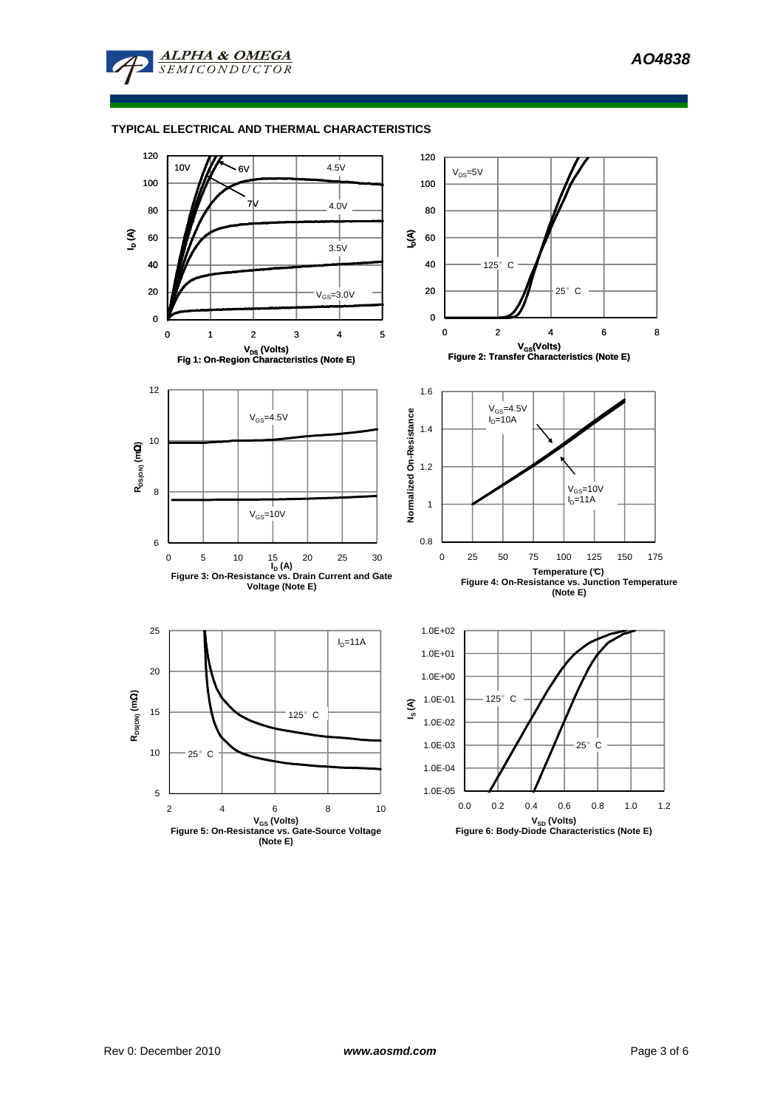

## **TYPICAL ELECTRICAL AND THERMAL CHARACTERISTICS**

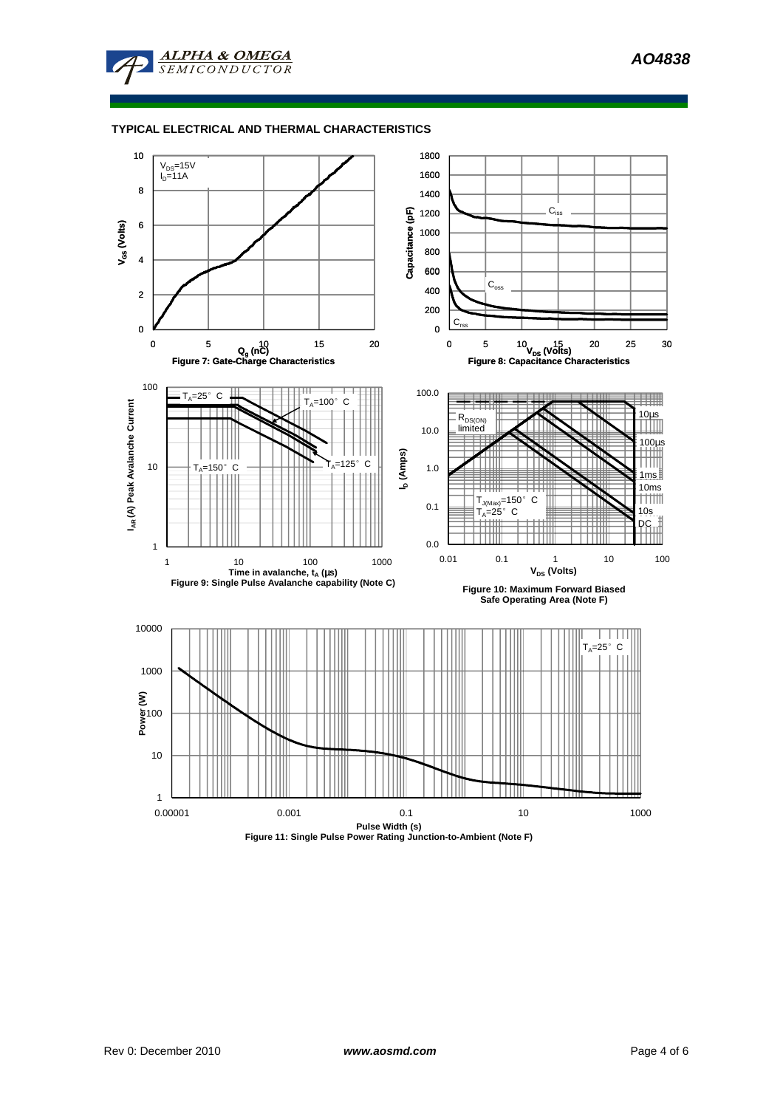

## **TYPICAL ELECTRICAL AND THERMAL CHARACTERISTICS**

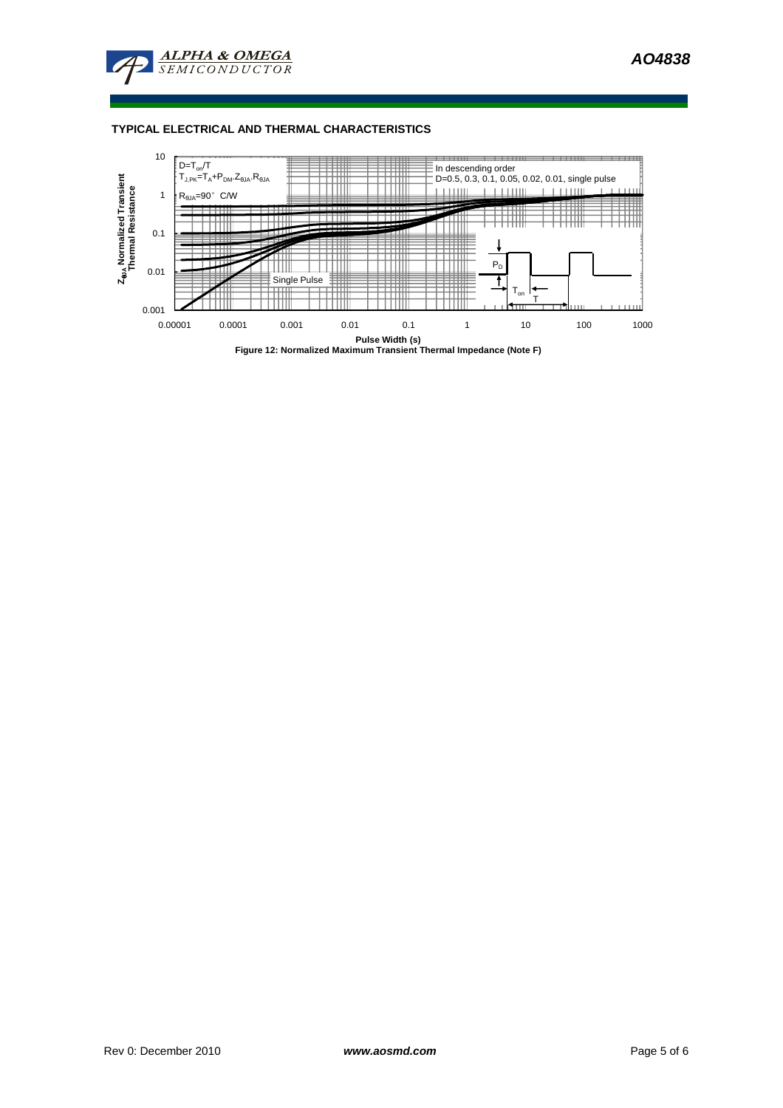

# **TYPICAL ELECTRICAL AND THERMAL CHARACTERISTICS**